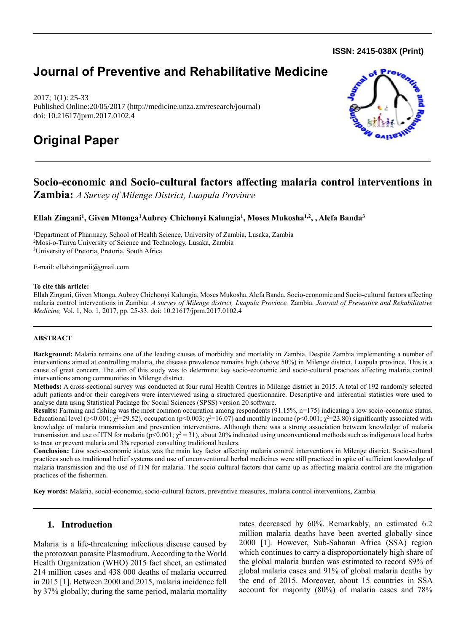**ISSN: 2415-038X (Print)** 

# **Journal of Preventive and Rehabilitative Medicine**

2017; 1(1): 25-33 Published Online:20/05/2017 (http://medicine.unza.zm/research/journal) doi: 10.21617/jprm.2017.0102.4

# **Original Paper**

# **Socio-economic and Socio-cultural factors affecting malaria control interventions in**

**Zambia:** *A Survey of Milenge District, Luapula Province*

# **Ellah Zingani<sup>1</sup> , Given Mtonga<sup>1</sup>Aubrey Chichonyi Kalungia<sup>1</sup> , Moses Mukosha1,2, , Alefa Banda<sup>3</sup>**

<sup>1</sup>Department of Pharmacy, School of Health Science, University of Zambia, Lusaka, Zambia <sup>2</sup>Mosi-o-Tunya University of Science and Technology, Lusaka, Zambia <sup>3</sup>University of Pretoria, Pretoria, South Africa

E-mail: [ellahzinganii@gmail.com](mailto:ellahzinganii@gmail.com)

#### **To cite this article:**

Ellah Zingani, Given Mtonga, Aubrey Chichonyi Kalungia, Moses Mukosha, Alefa Banda. Socio-economic and Socio-cultural factors affecting malaria control interventions in Zambia: *A survey of Milenge district, Luapula Province.* Zambia. *Journal of Preventive and Rehabilitative Medicine,* Vol. 1, No. 1, 2017, pp. 25-33. doi: 10.21617/jprm.2017.0102.4

#### **ABSTRACT**

**Background:** Malaria remains one of the leading causes of morbidity and mortality in Zambia. Despite Zambia implementing a number of interventions aimed at controlling malaria, the disease prevalence remains high (above 50%) in Milenge district, Luapula province. This is a cause of great concern. The aim of this study was to determine key socio-economic and socio-cultural practices affecting malaria control interventions among communities in Milenge district.

**Methods:** A cross-sectional survey was conducted at four rural Health Centres in Milenge district in 2015. A total of 192 randomly selected adult patients and/or their caregivers were interviewed using a structured questionnaire. Descriptive and inferential statistics were used to analyse data using Statistical Package for Social Sciences (SPSS) version 20 software.

**Results:** Farming and fishing was the most common occupation among respondents (91.15%, n=175) indicating a low socio-economic status. Educational level (p<0.001;  $\chi^2$ =29.52), occupation (p<0.003;  $\chi^2$ =16.07) and monthly income (p<0.001;  $\chi^2$ =23.80) significantly associated with knowledge of malaria transmission and prevention interventions. Although there was a strong association between knowledge of malaria transmission and use of ITN for malaria ( $p<0.001$ ;  $\chi^2 = 31$ ), about 20% indicated using unconventional methods such as indigenous local herbs to treat or prevent malaria and 3% reported consulting traditional healers.

**Conclusion:** Low socio-economic status was the main key factor affecting malaria control interventions in Milenge district. Socio-cultural practices such as traditional belief systems and use of unconventional herbal medicines were still practiced in spite of sufficient knowledge of malaria transmission and the use of ITN for malaria. The socio cultural factors that came up as affecting malaria control are the migration practices of the fishermen.

**Key words:** Malaria, social-economic, socio-cultural factors, preventive measures, malaria control interventions, Zambia

# **1. Introduction**

Malaria is a life-threatening infectious disease caused by the protozoan parasite Plasmodium. According to the World Health Organization (WHO) 2015 fact sheet, an estimated 214 million cases and 438 000 deaths of malaria occurred in 2015 [1]. Between 2000 and 2015, malaria incidence fell by 37% globally; during the same period, malaria mortality rates decreased by 60%. Remarkably, an estimated 6.2 million malaria deaths have been averted globally since 2000 [1]. However, Sub-Saharan Africa (SSA) region which continues to carry a disproportionately high share of the global malaria burden was estimated to record 89% of global malaria cases and 91% of global malaria deaths by the end of 2015. Moreover, about 15 countries in SSA account for majority (80%) of malaria cases and 78%

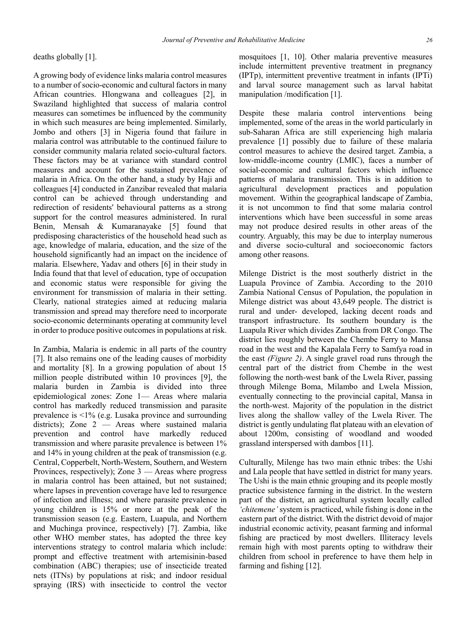deaths globally [1].

A growing body of evidence links malaria control measures to a number of socio-economic and cultural factors in many African countries. Hlongwana and colleagues [2], in Swaziland highlighted that success of malaria control measures can sometimes be influenced by the community in which such measures are being implemented. Similarly, Jombo and others [3] in Nigeria found that failure in malaria control was attributable to the continued failure to consider community malaria related socio-cultural factors. These factors may be at variance with standard control measures and account for the sustained prevalence of malaria in Africa. On the other hand, a study by Haji and colleagues [4] conducted in Zanzibar revealed that malaria control can be achieved through understanding and redirection of residents' behavioural patterns as a strong support for the control measures administered. In rural Benin, Mensah & Kumaranayake [5] found that predisposing characteristics of the household head such as age, knowledge of malaria, education, and the size of the household significantly had an impact on the incidence of malaria. Elsewhere, Yadav and others [6] in their study in India found that that level of education, type of occupation and economic status were responsible for giving the environment for transmission of malaria in their setting. Clearly, national strategies aimed at reducing malaria transmission and spread may therefore need to incorporate socio-economic determinants operating at community level in order to produce positive outcomes in populations at risk.

In Zambia, Malaria is endemic in all parts of the country [7]. It also remains one of the leading causes of morbidity and mortality [8]. In a growing population of about 15 million people distributed within 10 provinces [9], the malaria burden in Zambia is divided into three epidemiological zones: Zone 1— Areas where malaria control has markedly reduced transmission and parasite prevalence is <1% (e.g. Lusaka province and surrounding districts); Zone 2 — Areas where sustained malaria prevention and control have markedly reduced transmission and where parasite prevalence is between 1% and 14% in young children at the peak of transmission (e.g. Central, Copperbelt, North-Western, Southern, and Western Provinces, respectively); Zone 3 — Areas where progress in malaria control has been attained, but not sustained; where lapses in prevention coverage have led to resurgence of infection and illness; and where parasite prevalence in young children is 15% or more at the peak of the transmission season (e.g. Eastern, Luapula, and Northern and Muchinga province, respectively) [7]. Zambia, like other WHO member states, has adopted the three key interventions strategy to control malaria which include: prompt and effective treatment with artemisinin-based combination (ABC) therapies; use of insecticide treated nets (ITNs) by populations at risk; and indoor residual spraying (IRS) with insecticide to control the vector mosquitoes [1, 10]. Other malaria preventive measures include intermittent preventive treatment in pregnancy (IPTp), intermittent preventive treatment in infants (IPTi) and larval source management such as larval habitat manipulation /modification [1].

Despite these malaria control interventions being implemented, some of the areas in the world particularly in sub-Saharan Africa are still experiencing high malaria prevalence [1] possibly due to failure of these malaria control measures to achieve the desired target. Zambia, a low-middle-income country (LMIC), faces a number of social-economic and cultural factors which influence patterns of malaria transmission. This is in addition to agricultural development practices and population movement. Within the geographical landscape of Zambia, it is not uncommon to find that some malaria control interventions which have been successful in some areas may not produce desired results in other areas of the country. Arguably, this may be due to interplay numerous and diverse socio-cultural and socioeconomic factors among other reasons.

Milenge District is the most southerly district in the Luapula Province of Zambia. According to the 2010 Zambia National Census of Population, the population in Milenge district was about 43,649 people. The district is rural and under- developed, lacking decent roads and transport infrastructure. Its southern boundary is the Luapula River which divides Zambia from DR Congo. The district lies roughly between the Chembe Ferry to Mansa road in the west and the Kapalala Ferry to Samfya road in the east *(Figure 2)*. A single gravel road runs through the central part of the district from Chembe in the west following the north-west bank of the Lwela River, passing through Milenge Boma, Milambo and Lwela Mission, eventually connecting to the provincial capital, Mansa in the north-west. Majority of the population in the district lives along the shallow valley of the Lwela River. The district is gently undulating flat plateau with an elevation of about 1200m, consisting of woodland and wooded grassland interspersed with dambos [11].

Culturally, Milenge has two main ethnic tribes: the Ushi and Lala people that have settled in district for many years. The Ushi is the main ethnic grouping and its people mostly practice subsistence farming in the district. In the western part of the district, an agricultural system locally called *'chitemene'* system is practiced, while fishing is done in the eastern part of the district. With the district devoid of major industrial economic activity, peasant farming and informal fishing are practiced by most dwellers. Illiteracy levels remain high with most parents opting to withdraw their children from school in preference to have them help in farming and fishing [12].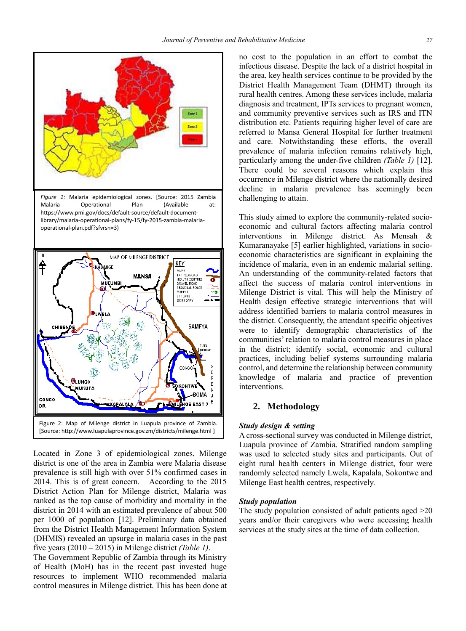

Located in Zone 3 of epidemiological zones, Milenge district is one of the area in Zambia were Malaria disease prevalence is still high with over 51% confirmed cases in 2014. This is of great concern. According to the 2015 District Action Plan for Milenge district, Malaria was ranked as the top cause of morbidity and mortality in the district in 2014 with an estimated prevalence of about 500 per 1000 of population [12]. Preliminary data obtained from the District Health Management Information System (DHMIS) revealed an upsurge in malaria cases in the past five years (2010 – 2015) in Milenge district *(Table 1)*.

The Government Republic of Zambia through its Ministry of Health (MoH) has in the recent past invested huge resources to implement WHO recommended malaria control measures in Milenge district. This has been done at no cost to the population in an effort to combat the infectious disease. Despite the lack of a district hospital in the area, key health services continue to be provided by the District Health Management Team (DHMT) through its rural health centres. Among these services include, malaria diagnosis and treatment, IPTs services to pregnant women, and community preventive services such as IRS and ITN distribution etc. Patients requiring higher level of care are referred to Mansa General Hospital for further treatment and care. Notwithstanding these efforts, the overall prevalence of malaria infection remains relatively high, particularly among the under-five children *(Table 1)* [12]. There could be several reasons which explain this occurrence in Milenge district where the nationally desired decline in malaria prevalence has seemingly been challenging to attain.

This study aimed to explore the community-related socioeconomic and cultural factors affecting malaria control interventions in Milenge district. As Mensah & Kumaranayake [5] earlier highlighted, variations in socioeconomic characteristics are significant in explaining the incidence of malaria, even in an endemic malarial setting. An understanding of the community-related factors that affect the success of malaria control interventions in Milenge District is vital. This will help the Ministry of Health design effective strategic interventions that will address identified barriers to malaria control measures in the district. Consequently, the attendant specific objectives were to identify demographic characteristics of the communities' relation to malaria control measures in place in the district; identify social, economic and cultural practices, including belief systems surrounding malaria control, and determine the relationship between community knowledge of malaria and practice of prevention interventions.

## **2. Methodology**

#### *Study design & setting*

A cross-sectional survey was conducted in Milenge district, Luapula province of Zambia. Stratified random sampling was used to selected study sites and participants. Out of eight rural health centers in Milenge district, four were randomly selected namely Lwela, Kapalala, Sokontwe and Milenge East health centres, respectively.

#### *Study population*

The study population consisted of adult patients aged >20 years and/or their caregivers who were accessing health services at the study sites at the time of data collection.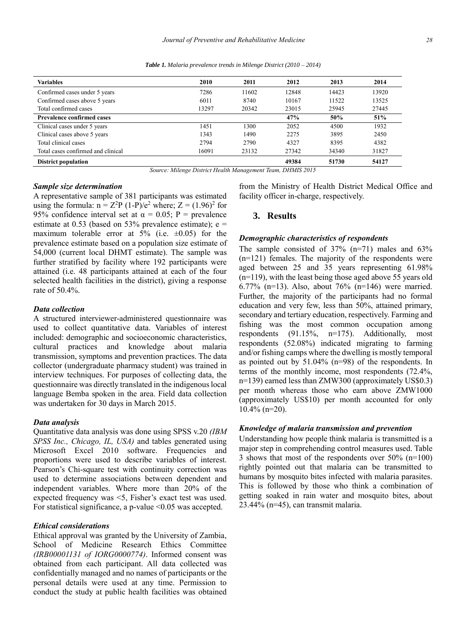*Table 1. Malaria prevalence trends in Milenge District (2010 – 2014)*

| <b>Variables</b>                   | 2010  | 2011  | 2012  | 2013  | 2014  |
|------------------------------------|-------|-------|-------|-------|-------|
| Confirmed cases under 5 years      | 7286  | 11602 | 12848 | 14423 | 13920 |
| Confirmed cases above 5 years      | 6011  | 8740  | 10167 | 11522 | 13525 |
| Total confirmed cases              | 13297 | 20342 | 23015 | 25945 | 27445 |
| <b>Prevalence confirmed cases</b>  |       |       | 47%   | 50%   | 51%   |
| Clinical cases under 5 years       | 1451  | 1300  | 2052  | 4500  | 1932  |
| Clinical cases above 5 years       | 1343  | 1490  | 2275  | 3895  | 2450  |
| Total clinical cases               | 2794  | 2790  | 4327  | 8395  | 4382  |
| Total cases confirmed and clinical | 16091 | 23132 | 27342 | 34340 | 31827 |
| <b>District population</b>         |       |       | 49384 | 51730 | 54127 |

*Source: Milenge District Health Management Team, DHMIS 2015*

#### *Sample size determination*

A representative sample of 381 participants was estimated using the formula:  $n = Z^2P(1-P)/e^2$  where;  $Z = (1.96)^2$  for 95% confidence interval set at  $\alpha = 0.05$ ; P = prevalence estimate at 0.53 (based on 53% prevalence estimate);  $e =$ maximum tolerable error at  $5\%$  (i.e.  $\pm 0.05$ ) for the prevalence estimate based on a population size estimate of 54,000 (current local DHMT estimate). The sample was further stratified by facility where 192 participants were attained (i.e. 48 participants attained at each of the four selected health facilities in the district), giving a response rate of 50.4%.

#### *Data collection*

A structured interviewer-administered questionnaire was used to collect quantitative data. Variables of interest included: demographic and socioeconomic characteristics, cultural practices and knowledge about malaria transmission, symptoms and prevention practices. The data collector (undergraduate pharmacy student) was trained in interview techniques. For purposes of collecting data, the questionnaire was directly translated in the indigenous local language Bemba spoken in the area. Field data collection was undertaken for 30 days in March 2015.

#### *Data analysis*

Quantitative data analysis was done using SPSS v.20 *(IBM SPSS Inc., Chicago, IL, USA)* and tables generated using Microsoft Excel 2010 software. Frequencies and proportions were used to describe variables of interest. Pearson's Chi-square test with continuity correction was used to determine associations between dependent and independent variables. Where more than 20% of the expected frequency was <5, Fisher's exact test was used. For statistical significance, a p-value <0.05 was accepted.

#### *Ethical considerations*

Ethical approval was granted by the University of Zambia, School of Medicine Research Ethics Committee *(IRB00001131 of IORG0000774)*. Informed consent was obtained from each participant. All data collected was confidentially managed and no names of participants or the personal details were used at any time. Permission to conduct the study at public health facilities was obtained from the Ministry of Health District Medical Office and facility officer in-charge, respectively.

#### **3. Results**

#### *Demographic characteristics of respondents*

The sample consisted of 37% (n=71) males and 63% (n=121) females. The majority of the respondents were aged between 25 and 35 years representing 61.98% (n=119), with the least being those aged above 55 years old 6.77% (n=13). Also, about 76% (n=146) were married. Further, the majority of the participants had no formal education and very few, less than 50%, attained primary, secondary and tertiary education, respectively. Farming and fishing was the most common occupation among respondents (91.15%, n=175). Additionally, most respondents (52.08%) indicated migrating to farming and/or fishing camps where the dwelling is mostly temporal as pointed out by 51.04% (n=98) of the respondents. In terms of the monthly income, most respondents (72.4%, n=139) earned less than ZMW300 (approximately US\$0.3) per month whereas those who earn above ZMW1000 (approximately US\$10) per month accounted for only 10.4% (n=20).

#### *Knowledge of malaria transmission and prevention*

Understanding how people think malaria is transmitted is a major step in comprehending control measures used. Table 3 shows that most of the respondents over 50% (n=100) rightly pointed out that malaria can be transmitted to humans by mosquito bites infected with malaria parasites. This is followed by those who think a combination of getting soaked in rain water and mosquito bites, about 23.44% (n=45), can transmit malaria.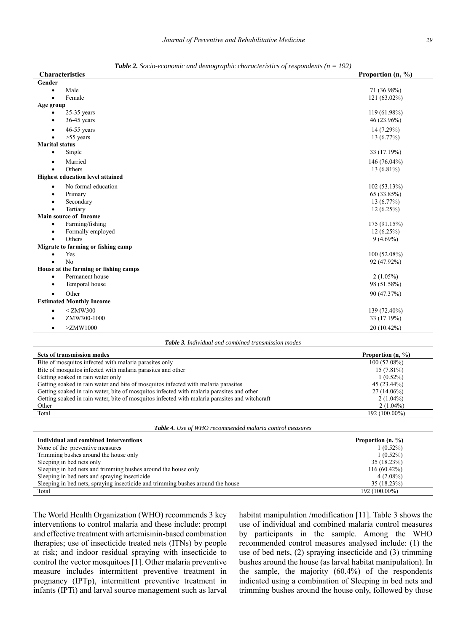| <b>Characteristics</b>                  | Proportion (n, %) |  |  |
|-----------------------------------------|-------------------|--|--|
| Gender                                  |                   |  |  |
| Male<br>٠                               | 71 (36.98%)       |  |  |
| Female<br>$\bullet$                     | $121(63.02\%)$    |  |  |
| Age group                               |                   |  |  |
| $25-35$ years                           | 119 (61.98%)      |  |  |
| $36-45$ years<br>$\bullet$              | 46 (23.96%)       |  |  |
| 46-55 years<br>$\bullet$                | 14 (7.29%)        |  |  |
| $>55$ years                             | $13(6.77\%)$      |  |  |
| <b>Marital status</b>                   |                   |  |  |
| Single<br>$\bullet$                     | 33 (17.19%)       |  |  |
| Married<br>$\bullet$                    | 146 $(76.04\%)$   |  |  |
| Others<br>$\bullet$                     | $13(6.81\%)$      |  |  |
| <b>Highest education level attained</b> |                   |  |  |
| No formal education<br>$\bullet$        | 102(53.13%)       |  |  |
| Primary<br>٠                            | 65 (33.85%)       |  |  |
| Secondary                               | 13(6.77%)         |  |  |
| Tertiary<br>$\bullet$                   | $12(6.25\%)$      |  |  |
| <b>Main source of Income</b>            |                   |  |  |
| Farming/fishing<br>$\bullet$            | 175 (91.15%)      |  |  |
| Formally employed<br>$\bullet$          | 12(6.25%)         |  |  |
| Others<br>$\bullet$                     | $9(4.69\%)$       |  |  |
| Migrate to farming or fishing camp      |                   |  |  |
| Yes                                     | $100(52.08\%)$    |  |  |
| No                                      | 92 (47.92%)       |  |  |
| House at the farming or fishing camps   |                   |  |  |
| Permanent house<br>٠                    | $2(1.05\%)$       |  |  |
| Temporal house<br>$\bullet$             | 98 (51.58%)       |  |  |
| Other<br>$\bullet$                      | 90 (47.37%)       |  |  |
| <b>Estimated Monthly Income</b>         |                   |  |  |
| $<$ ZMW300<br>٠                         | 139 (72.40%)      |  |  |
| ZMW300-1000<br>$\bullet$                | 33 (17.19%)       |  |  |
| $>\chi$ ZMW1000<br>$\bullet$            | 20 (10.42%)       |  |  |

*Table 2. Socio-economic and demographic characteristics of respondents (n = 192)*

*Table 3. Individual and combined transmission modes*

| <b>Sets of transmission modes</b>                                                              | Proportion $(n, %)$           |
|------------------------------------------------------------------------------------------------|-------------------------------|
| Bite of mosquitos infected with malaria parasites only                                         | 100(52.08%)                   |
| Bite of mosquitos infected with malaria parasites and other                                    | $15(7.81\%)$                  |
| Getting soaked in rain water only                                                              | $1(0.52\%)$                   |
| Getting soaked in rain water and bite of mosquitos infected with malaria parasites             | 45 (23.44%)                   |
| Getting soaked in rain water, bite of mosquitos infected with malaria parasites and other      | $27(14.06\%)$                 |
| Getting soaked in rain water, bite of mosquitos infected with malaria parasites and witchcraft | $2(1.04\%)$                   |
| Other                                                                                          | $2(1.04\%)$                   |
| Total                                                                                          | 192 (100.00%)                 |
|                                                                                                |                               |
| <b>Table 4.</b> Use of WHO recommended malaria control measures                                |                               |
| <b>Individual and combined Interventions</b>                                                   | Proportion $(n, \frac{9}{6})$ |
| None of the preventive measures                                                                | $1(0.52\%)$                   |
| Trimming bushes around the house only                                                          | $1(0.52\%)$                   |
| Sleeping in bed nets only                                                                      | 35 (18.23%)                   |
| Sleeping in bed nets and trimming bushes around the house only                                 | $116(60.42\%)$                |
| Sleeping in bed nets and spraying insecticide                                                  | $4(2.08\%)$                   |
| Sleeping in bed nets, spraying insecticide and trimming bushes around the house                | 35 (18.23%)                   |

Total 192 (100.00%)

The World Health Organization (WHO) recommends 3 key interventions to control malaria and these include: prompt and effective treatment with artemisinin-based combination therapies; use of insecticide treated nets (ITNs) by people at risk; and indoor residual spraying with insecticide to control the vector mosquitoes [1]. Other malaria preventive measure includes intermittent preventive treatment in pregnancy (IPTp), intermittent preventive treatment in infants (IPTi) and larval source management such as larval

habitat manipulation /modification [11]. Table 3 shows the use of individual and combined malaria control measures by participants in the sample. Among the WHO recommended control measures analysed include: (1) the use of bed nets, (2) spraying insecticide and (3) trimming bushes around the house (as larval habitat manipulation). In the sample, the majority (60.4%) of the respondents indicated using a combination of Sleeping in bed nets and trimming bushes around the house only, followed by those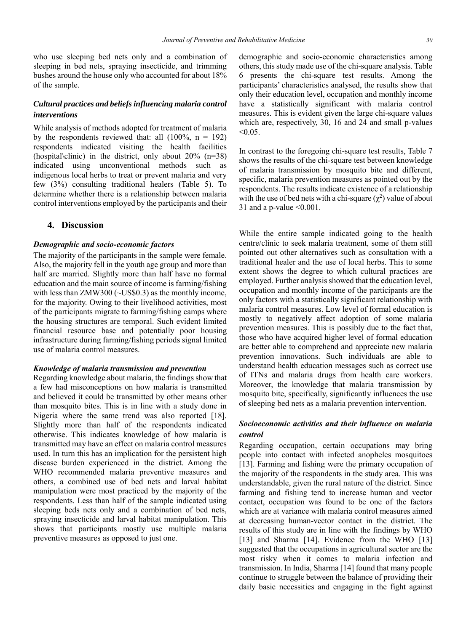who use sleeping bed nets only and a combination of sleeping in bed nets, spraying insecticide, and trimming bushes around the house only who accounted for about 18% of the sample.

### *Cultural practices and beliefs influencing malaria control interventions*

While analysis of methods adopted for treatment of malaria by the respondents reviewed that: all  $(100\%, n = 192)$ respondents indicated visiting the health facilities (hospital\clinic) in the district, only about 20% (n=38) indicated using unconventional methods such as indigenous local herbs to treat or prevent malaria and very few (3%) consulting traditional healers (Table 5). To determine whether there is a relationship between malaria control interventions employed by the participants and their

### **4. Discussion**

#### *Demographic and socio-economic factors*

The majority of the participants in the sample were female. Also, the majority fell in the youth age group and more than half are married. Slightly more than half have no formal education and the main source of income is farming/fishing with less than ZMW300 (~US\$0.3) as the monthly income, for the majority. Owing to their livelihood activities, most of the participants migrate to farming/fishing camps where the housing structures are temporal. Such evident limited financial resource base and potentially poor housing infrastructure during farming/fishing periods signal limited use of malaria control measures.

#### *Knowledge of malaria transmission and prevention*

Regarding knowledge about malaria, the findings show that a few had misconceptions on how malaria is transmitted and believed it could be transmitted by other means other than mosquito bites. This is in line with a study done in Nigeria where the same trend was also reported [18]. Slightly more than half of the respondents indicated otherwise. This indicates knowledge of how malaria is transmitted may have an effect on malaria control measures used. In turn this has an implication for the persistent high disease burden experienced in the district. Among the WHO recommended malaria preventive measures and others, a combined use of bed nets and larval habitat manipulation were most practiced by the majority of the respondents. Less than half of the sample indicated using sleeping beds nets only and a combination of bed nets, spraying insecticide and larval habitat manipulation. This shows that participants mostly use multiple malaria preventive measures as opposed to just one.

demographic and socio-economic characteristics among others, this study made use of the chi-square analysis. Table 6 presents the chi-square test results. Among the participants' characteristics analysed, the results show that only their education level, occupation and monthly income have a statistically significant with malaria control measures. This is evident given the large chi-square values which are, respectively, 30, 16 and 24 and small p-values  $< 0.05$ .

In contrast to the foregoing chi-square test results, Table 7 shows the results of the chi-square test between knowledge of malaria transmission by mosquito bite and different, specific, malaria prevention measures as pointed out by the respondents. The results indicate existence of a relationship with the use of bed nets with a chi-square  $(\chi^2)$  value of about 31 and a p-value  $\leq 0.001$ .

While the entire sample indicated going to the health centre/clinic to seek malaria treatment, some of them still pointed out other alternatives such as consultation with a traditional healer and the use of local herbs. This to some extent shows the degree to which cultural practices are employed. Further analysis showed that the education level, occupation and monthly income of the participants are the only factors with a statistically significant relationship with malaria control measures. Low level of formal education is mostly to negatively affect adoption of some malaria prevention measures. This is possibly due to the fact that, those who have acquired higher level of formal education are better able to comprehend and appreciate new malaria prevention innovations. Such individuals are able to understand health education messages such as correct use of ITNs and malaria drugs from health care workers. Moreover, the knowledge that malaria transmission by mosquito bite, specifically, significantly influences the use of sleeping bed nets as a malaria prevention intervention.

# *Socioeconomic activities and their influence on malaria control*

Regarding occupation, certain occupations may bring people into contact with infected anopheles mosquitoes [13]. Farming and fishing were the primary occupation of the majority of the respondents in the study area. This was understandable, given the rural nature of the district. Since farming and fishing tend to increase human and vector contact, occupation was found to be one of the factors which are at variance with malaria control measures aimed at decreasing human-vector contact in the district. The results of this study are in line with the findings by WHO [13] and Sharma [14]. Evidence from the WHO [13] suggested that the occupations in agricultural sector are the most risky when it comes to malaria infection and transmission. In India, Sharma [14] found that many people continue to struggle between the balance of providing their daily basic necessities and engaging in the fight against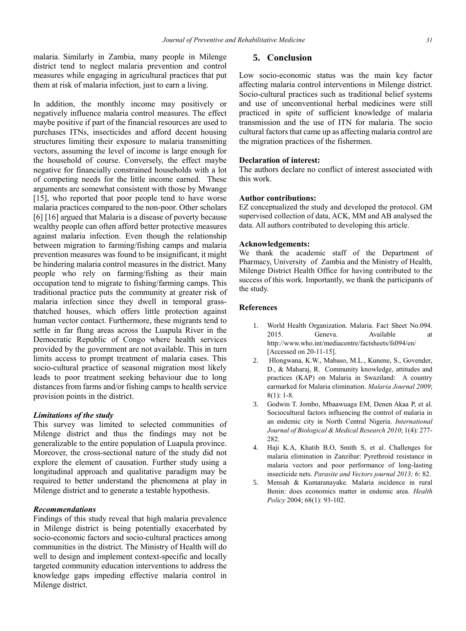malaria. Similarly in Zambia, many people in Milenge district tend to neglect malaria prevention and control measures while engaging in agricultural practices that put them at risk of malaria infection, just to earn a living.

In addition, the monthly income may positively or negatively influence malaria control measures. The effect maybe positive if part of the financial resources are used to purchases ITNs, insecticides and afford decent housing structures limiting their exposure to malaria transmitting vectors, assuming the level of income is large enough for the household of course. Conversely, the effect maybe negative for financially constrained households with a lot of competing needs for the little income earned. These arguments are somewhat consistent with those by Mwange [15], who reported that poor people tend to have worse malaria practices compared to the non-poor. Other scholars [6] [16] argued that Malaria is a disease of poverty because wealthy people can often afford better protective measures against malaria infection. Even though the relationship between migration to farming/fishing camps and malaria prevention measures was found to be insignificant, it might be hindering malaria control measures in the district. Many people who rely on farming/fishing as their main occupation tend to migrate to fishing/farming camps. This traditional practice puts the community at greater risk of malaria infection since they dwell in temporal grassthatched houses, which offers little protection against human vector contact. Furthermore, these migrants tend to settle in far flung areas across the Luapula River in the Democratic Republic of Congo where health services provided by the government are not available. This in turn limits access to prompt treatment of malaria cases. This socio-cultural practice of seasonal migration most likely leads to poor treatment seeking behaviour due to long distances from farms and/or fishing camps to health service provision points in the district.

#### *Limitations of the study*

This survey was limited to selected communities of Milenge district and thus the findings may not be generalizable to the entire population of Luapula province. Moreover, the cross-sectional nature of the study did not explore the element of causation. Further study using a longitudinal approach and qualitative paradigm may be required to better understand the phenomena at play in Milenge district and to generate a testable hypothesis.

#### *Recommendations*

Findings of this study reveal that high malaria prevalence in Milenge district is being potentially exacerbated by socio-economic factors and socio-cultural practices among communities in the district. The Ministry of Health will do well to design and implement context-specific and locally targeted community education interventions to address the knowledge gaps impeding effective malaria control in Milenge district.

## **5. Conclusion**

Low socio-economic status was the main key factor affecting malaria control interventions in Milenge district. Socio-cultural practices such as traditional belief systems and use of unconventional herbal medicines were still practiced in spite of sufficient knowledge of malaria transmission and the use of ITN for malaria. The socio cultural factors that came up as affecting malaria control are the migration practices of the fishermen.

#### **Declaration of interest:**

The authors declare no conflict of interest associated with this work.

#### **Author contributions:**

EZ conceptualized the study and developed the protocol. GM supervised collection of data, ACK, MM and AB analysed the data. All authors contributed to developing this article.

#### **Acknowledgements:**

We thank the academic staff of the Department of Pharmacy, University of Zambia and the Ministry of Health, Milenge District Health Office for having contributed to the success of this work. Importantly, we thank the participants of the study.

#### **References**

- 1. World Health Organization. Malaria. Fact Sheet No.094. 2015. Geneva. Available at <http://www.who.int/mediacentre/factsheets/fs094/en/> [Accessed on 20-11-15].
- 2. Hlongwana, K.W., Mabaso, M.L., Kunene, S., Govender, D., & Maharaj, R. Community knowledge, attitudes and practices (KAP) on Malaria in Swaziland: A country earmarked for Malaria elimination. *Malaria Journal 2009*; 8(1): 1-8.
- 3. Godwin T. Jombo, Mbaawuaga EM, Denen Akaa P, et al. Sociocultural factors influencing the control of malaria in an endemic city in North Central Nigeria. *International Journal of Biological & Medical Research 2010*; 1(4): 277- 282.
- 4. Haji K.A, Khatib B.O, Smith S, et al. Challenges for malaria elimination in Zanzibar: Pyrethroid resistance in malaria vectors and poor performance of long-lasting insecticide nets. *Parasite and Vectors journal 2013;* 6: 82.
- 5. Mensah & Kumaranayake. Malaria incidence in rural Benin: does economics matter in endemic area. *Health Policy* 2004; 68(1): 93-102.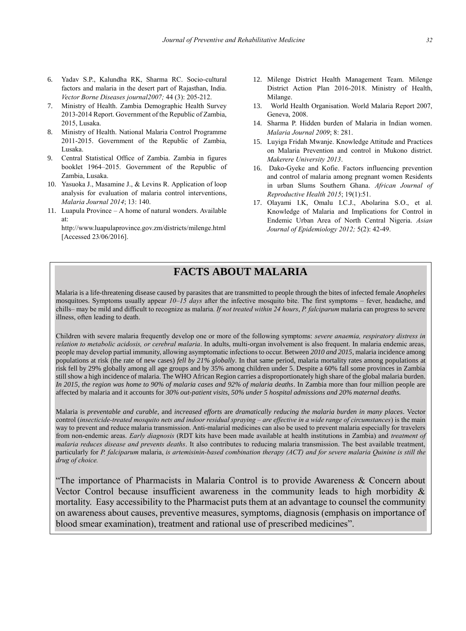- 6. Yadav S.P., Kalundha RK, Sharma RC. Socio-cultural factors and malaria in the desert part of Rajasthan, India. *Vector Borne Diseases journal2007;* 44 (3): 205-212.
- 7. Ministry of Health. Zambia Demographic Health Survey 2013-2014 Report. Government of the Republic of Zambia, 2015, Lusaka.
- 8. Ministry of Health. National Malaria Control Programme 2011-2015. Government of the Republic of Zambia, Lusaka.
- 9. Central Statistical Office of Zambia. Zambia in figures booklet 1964–2015. Government of the Republic of Zambia, Lusaka.
- 10. Yasuoka J., Masamine J., & Levins R. Application of loop analysis for evaluation of malaria control interventions, *Malaria Journal 2014*; 13: 140.
- 11. Luapula Province A home of natural wonders. Available at:

<http://www.luapulaprovince.gov.zm/districts/milenge.html> [Accessed 23/06/2016].

- 12. Milenge District Health Management Team. Milenge District Action Plan 2016-2018. Ministry of Health, Milange.
- 13. World Health Organisation. World Malaria Report 2007, Geneva, 2008.
- 14. Sharma P. Hidden burden of Malaria in Indian women. *Malaria Journal 2009*; 8: 281.
- 15. Luyiga Fridah Mwanje. Knowledge Attitude and Practices on Malaria Prevention and control in Mukono district. *Makerere University 2013*.
- 16. Dako-Gyeke and Kofie. Factors influencing prevention and control of malaria among pregnant women Residents in urban Slums Southern Ghana. *African Journal of Reproductive Health 2015*; 19(1):51.
- 17. Olayami I.K, Omalu I.C.J., Abolarina S.O., et al. Knowledge of Malaria and Implications for Control in Endemic Urban Area of North Central Nigeria. *Asian Journal of Epidemiology 2012;* 5(2): 42-49.

# **FACTS ABOUT MALARIA**

Malaria is a life-threatening disease caused by parasites that are transmitted to people through the bites of infected female *Anopheles* mosquitoes. Symptoms usually appear *10–15 days* after the infective mosquito bite. The first symptoms – fever, headache, and chills– may be mild and difficult to recognize as malaria. *If not treated within 24 hours*, *P. falciparum* malaria can progress to severe illness, often leading to death.

Children with severe malaria frequently develop one or more of the following symptoms: *severe anaemia, respiratory distress in relation to metabolic acidosis, or cerebral malaria*. In adults, multi-organ involvement is also frequent. In malaria endemic areas, people may develop partial immunity, allowing asymptomatic infections to occur. Between *2010 and 2015*, malaria incidence among populations at risk (the rate of new cases) *fell by 21% globally*. In that same period, malaria mortality rates among populations at risk fell by 29% globally among all age groups and by 35% among children under 5. Despite a 60% fall some provinces in Zambia still show a high incidence of malaria. The WHO African Region carries a disproportionately high share of the global malaria burden. *In 2015, the region was home to 90% of malaria cases and 92% of malaria deaths*. In Zambia more than four million people are affected by malaria and it accounts for *30% out-patient visits, 50% under 5 hospital admissions and 20% maternal deaths.*

Malaria is *preventable and curable*, and *increased efforts* are *dramatically reducing the malaria burden in many places*. Vector control (*insecticide-treated mosquito nets and indoor residual spraying – are effective in a wide range of circumstances*) is the main way to prevent and reduce malaria transmission. Anti-malarial medicines can also be used to prevent malaria especially for travelers from non-endemic areas. *Early diagnosis* (RDT kits have been made available at health institutions in Zambia) and *treatment of malaria reduces disease and prevents deaths*. It also contributes to reducing malaria transmission. The best available treatment, particularly for *P. falciparum* malaria, *is artemisinin-based combination therapy (ACT) and for severe malaria Quinine is still the drug of choice.*

"The importance of Pharmacists in Malaria Control is to provide Awareness  $\&$  Concern about Vector Control because insufficient awareness in the community leads to high morbidity & mortality. Easy accessibility to the Pharmacist puts them at an advantage to counsel the community on awareness about causes, preventive measures, symptoms, diagnosis (emphasis on importance of blood smear examination), treatment and rational use of prescribed medicines".